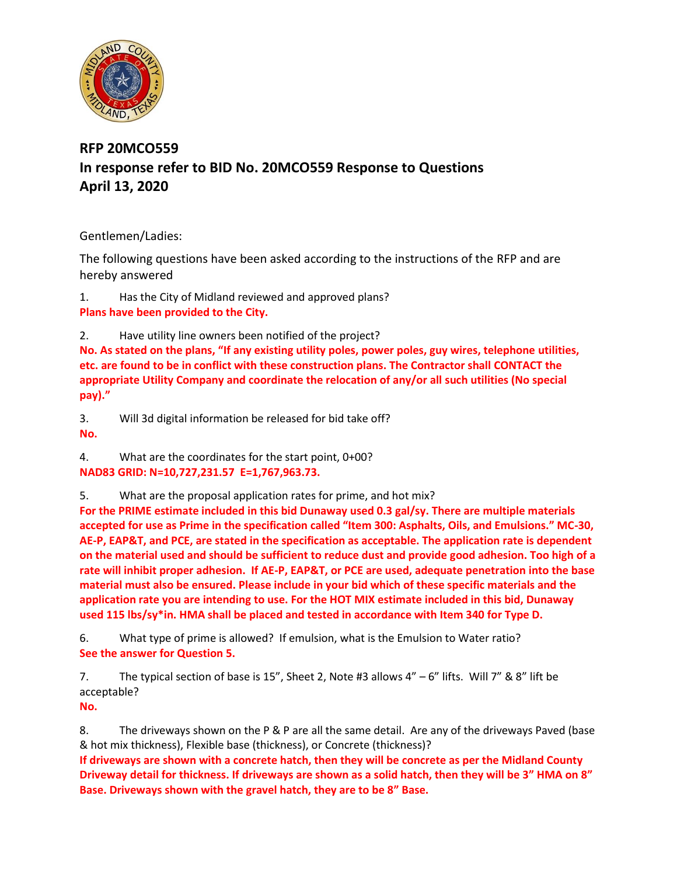

## **RFP 20MCO559 In response refer to BID No. 20MCO559 Response to Questions April 13, 2020**

Gentlemen/Ladies:

The following questions have been asked according to the instructions of the RFP and are hereby answered

1. Has the City of Midland reviewed and approved plans? **Plans have been provided to the City.**

2. Have utility line owners been notified of the project?

**No. As stated on the plans, "If any existing utility poles, power poles, guy wires, telephone utilities, etc. are found to be in conflict with these construction plans. The Contractor shall CONTACT the appropriate Utility Company and coordinate the relocation of any/or all such utilities (No special pay)."**

3. Will 3d digital information be released for bid take off? **No.**

4. What are the coordinates for the start point, 0+00? **NAD83 GRID: N=10,727,231.57 E=1,767,963.73.**

5. What are the proposal application rates for prime, and hot mix?

**For the PRIME estimate included in this bid Dunaway used 0.3 gal/sy. There are multiple materials accepted for use as Prime in the specification called "Item 300: Asphalts, Oils, and Emulsions." MC-30, AE-P, EAP&T, and PCE, are stated in the specification as acceptable. The application rate is dependent on the material used and should be sufficient to reduce dust and provide good adhesion. Too high of a rate will inhibit proper adhesion. If AE-P, EAP&T, or PCE are used, adequate penetration into the base material must also be ensured. Please include in your bid which of these specific materials and the application rate you are intending to use. For the HOT MIX estimate included in this bid, Dunaway used 115 lbs/sy\*in. HMA shall be placed and tested in accordance with Item 340 for Type D.**

6. What type of prime is allowed? If emulsion, what is the Emulsion to Water ratio? **See the answer for Question 5.**

7. The typical section of base is 15", Sheet 2, Note #3 allows 4" – 6" lifts. Will 7" & 8" lift be acceptable?

**No.**

8. The driveways shown on the P & P are all the same detail. Are any of the driveways Paved (base & hot mix thickness), Flexible base (thickness), or Concrete (thickness)? **If driveways are shown with a concrete hatch, then they will be concrete as per the Midland County** 

**Driveway detail for thickness. If driveways are shown as a solid hatch, then they will be 3" HMA on 8" Base. Driveways shown with the gravel hatch, they are to be 8" Base.**